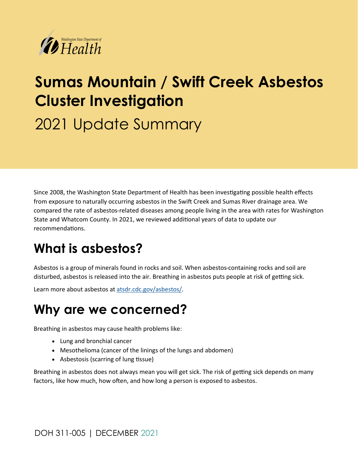

# **Sumas Mountain / Swift Creek Asbestos Cluster Investigation**

2021 Update Summary

Since 2008, the Washington State Department of Health has been investigating possible health effects from exposure to naturally occurring asbestos in the Swift Creek and Sumas River drainage area. We compared the rate of asbestos-related diseases among people living in the area with rates for Washington State and Whatcom County. In 2021, we reviewed additional years of data to update our recommendations.

# **What is asbestos?**

Asbestos is a group of minerals found in rocks and soil. When asbestos-containing rocks and soil are disturbed, asbestos is released into the air. Breathing in asbestos puts people at risk of getting sick.

Learn more about asbestos at [atsdr.cdc.gov/asbestos/.](https://www.atsdr.cdc.gov/asbestos/index.html)

# **Why are we concerned?**

Breathing in asbestos may cause health problems like:

- Lung and bronchial cancer
- Mesothelioma (cancer of the linings of the lungs and abdomen)
- Asbestosis (scarring of lung tissue)

Breathing in asbestos does not always mean you will get sick. The risk of getting sick depends on many factors, like how much, how often, and how long a person is exposed to asbestos.